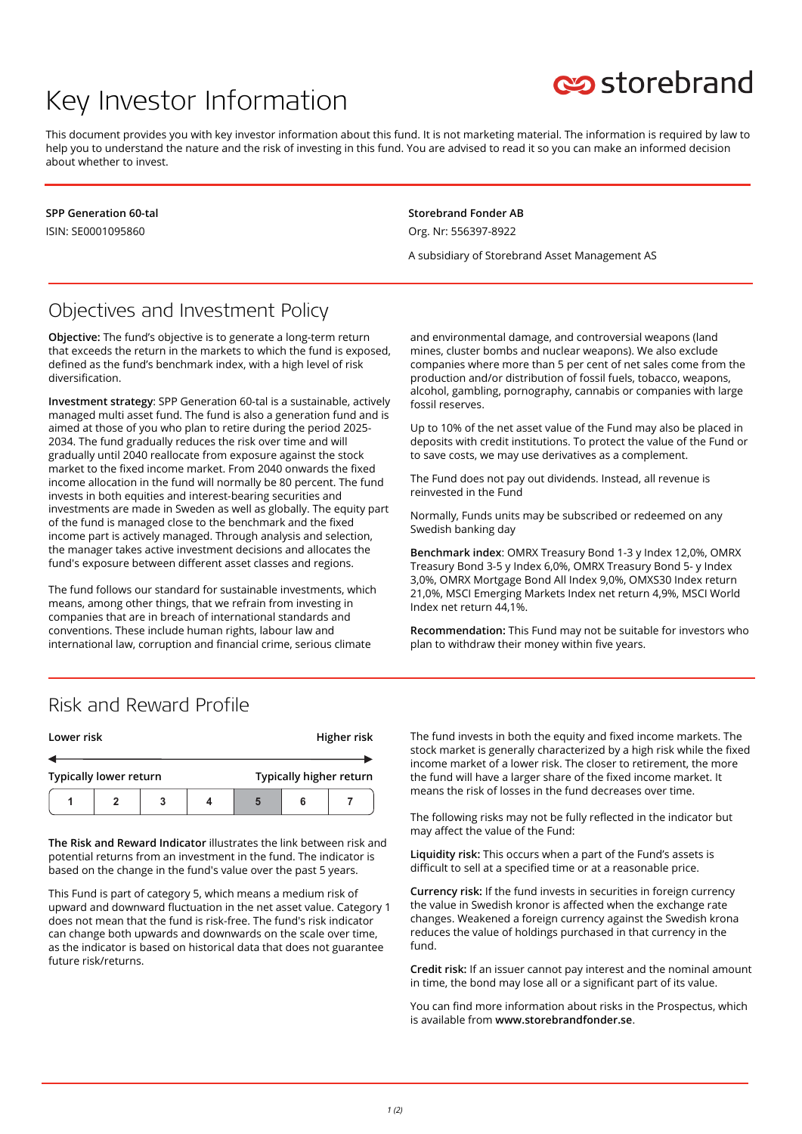# Key Investor Information



This document provides you with key investor information about this fund. It is not marketing material. The information is required by law to help you to understand the nature and the risk of investing in this fund. You are advised to read it so you can make an informed decision about whether to invest.

**SPP Generation 60-tal** ISIN: SE0001095860

**Storebrand Fonder AB** Org. Nr: 556397-8922

A subsidiary of Storebrand Asset Management AS

## Objectives and Investment Policy

**Objective:** The fund's objective is to generate a long-term return that exceeds the return in the markets to which the fund is exposed, defined as the fund's benchmark index, with a high level of risk diversification.

**Investment strategy**: SPP Generation 60-tal is a sustainable, actively managed multi asset fund. The fund is also a generation fund and is aimed at those of you who plan to retire during the period 2025- 2034. The fund gradually reduces the risk over time and will gradually until 2040 reallocate from exposure against the stock market to the fixed income market. From 2040 onwards the fixed income allocation in the fund will normally be 80 percent. The fund invests in both equities and interest-bearing securities and investments are made in Sweden as well as globally. The equity part of the fund is managed close to the benchmark and the fixed income part is actively managed. Through analysis and selection, the manager takes active investment decisions and allocates the fund's exposure between different asset classes and regions.

The fund follows our standard for sustainable investments, which means, among other things, that we refrain from investing in companies that are in breach of international standards and conventions. These include human rights, labour law and international law, corruption and financial crime, serious climate

and environmental damage, and controversial weapons (land mines, cluster bombs and nuclear weapons). We also exclude companies where more than 5 per cent of net sales come from the production and/or distribution of fossil fuels, tobacco, weapons, alcohol, gambling, pornography, cannabis or companies with large fossil reserves.

Up to 10% of the net asset value of the Fund may also be placed in deposits with credit institutions. To protect the value of the Fund or to save costs, we may use derivatives as a complement.

The Fund does not pay out dividends. Instead, all revenue is reinvested in the Fund

Normally, Funds units may be subscribed or redeemed on any Swedish banking day

**Benchmark index**: OMRX Treasury Bond 1-3 y Index 12,0%, OMRX Treasury Bond 3-5 y Index 6,0%, OMRX Treasury Bond 5- y Index 3,0%, OMRX Mortgage Bond All Index 9,0%, OMXS30 Index return 21,0%, MSCI Emerging Markets Index net return 4,9%, MSCI World Index net return 44,1%.

**Recommendation:** This Fund may not be suitable for investors who plan to withdraw their money within five years.

#### Risk and Reward Profile

| Lower risk                    |  |   |  |                         |  | Higher risk |
|-------------------------------|--|---|--|-------------------------|--|-------------|
|                               |  |   |  |                         |  |             |
| <b>Typically lower return</b> |  |   |  | Typically higher return |  |             |
|                               |  | 3 |  |                         |  |             |

**The Risk and Reward Indicator** illustrates the link between risk and potential returns from an investment in the fund. The indicator is based on the change in the fund's value over the past 5 years.

This Fund is part of category 5, which means a medium risk of upward and downward fluctuation in the net asset value. Category 1 does not mean that the fund is risk-free. The fund's risk indicator can change both upwards and downwards on the scale over time, as the indicator is based on historical data that does not guarantee future risk/returns.

The fund invests in both the equity and fixed income markets. The stock market is generally characterized by a high risk while the fixed income market of a lower risk. The closer to retirement, the more the fund will have a larger share of the fixed income market. It means the risk of losses in the fund decreases over time.

The following risks may not be fully reflected in the indicator but may affect the value of the Fund:

**Liquidity risk:** This occurs when a part of the Fund's assets is difficult to sell at a specified time or at a reasonable price.

**Currency risk:** If the fund invests in securities in foreign currency the value in Swedish kronor is affected when the exchange rate changes. Weakened a foreign currency against the Swedish krona reduces the value of holdings purchased in that currency in the fund.

**Credit risk:** If an issuer cannot pay interest and the nominal amount in time, the bond may lose all or a significant part of its value.

You can find more information about risks in the Prospectus, which is available from **www.storebrandfonder.se**.